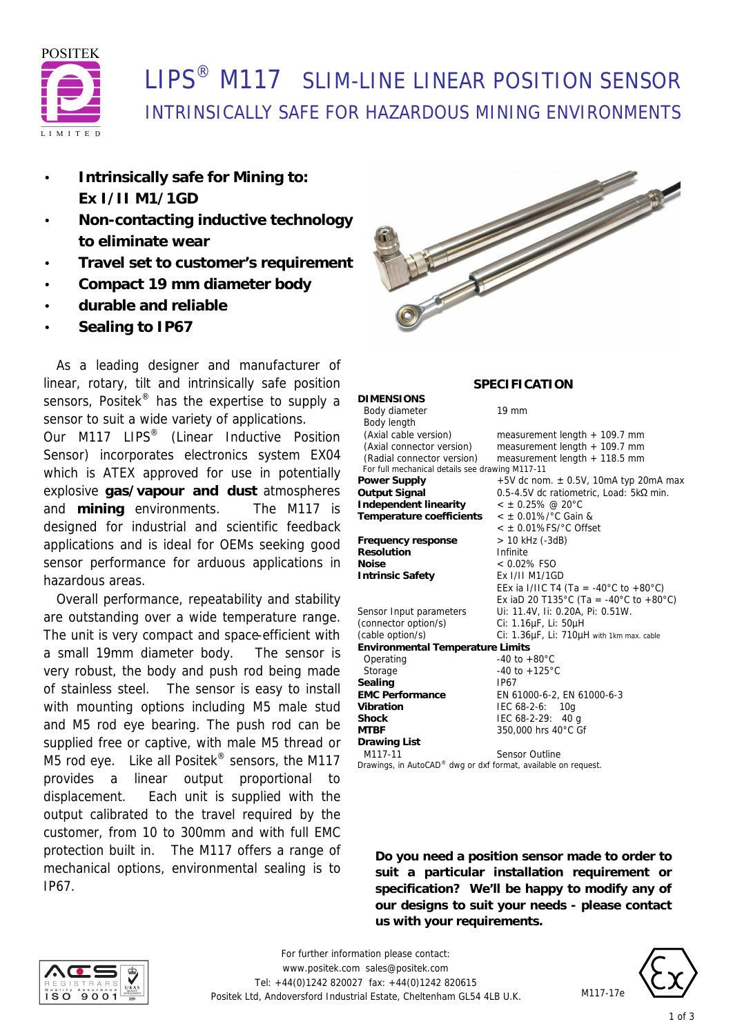

# **LIPS<sup>®</sup> M117** SLIM-LINE LINEAR POSITION SENSOR INTRINSICALLY SAFE FOR HAZARDOUS MINING ENVIRONMENTS

**DIMENSIONS**

- **Intrinsically safe for Mining to: Ex I/II M1/1GD**
- **Non-contacting inductive technology to eliminate wear**
- **Travel set to customer's requirement**
- **Compact 19 mm diameter body**
- **durable and reliable**
- **Sealing to IP67**

 As a leading designer and manufacturer of linear, rotary, tilt and intrinsically safe position sensors, Positek<sup>®</sup> has the expertise to supply a sensor to suit a wide variety of applications.

Our M117 LIPS<sup>®</sup> (Linear Inductive Position Sensor) incorporates electronics system EX04 which is ATEX approved for use in potentially explosive **gas/vapour and dust** atmospheres and **mining** environments. The M117 is designed for industrial and scientific feedback applications and is ideal for OEMs seeking good sensor performance for arduous applications in hazardous areas.

 Overall performance, repeatability and stability are outstanding over a wide temperature range. The unit is very compact and space-efficient with a small 19mm diameter body. The sensor is very robust, the body and push rod being made of stainless steel. The sensor is easy to install with mounting options including M5 male stud and M5 rod eye bearing. The push rod can be supplied free or captive, with male M5 thread or M5 rod eye. Like all Positek<sup>®</sup> sensors, the M117 provides a linear output proportional to displacement. Each unit is supplied with the output calibrated to the travel required by the customer, from 10 to 300mm and with full EMC protection built in. The M117 offers a range of mechanical options, environmental sealing is to IP67.



### **SPECIFICATION**

Body diameter 19 mm

| Body length                                     |                                             |  |  |  |
|-------------------------------------------------|---------------------------------------------|--|--|--|
| (Axial cable version)                           | measurement length $+$ 109.7 mm             |  |  |  |
| (Axial connector version)                       | measurement length $+$ 109.7 mm             |  |  |  |
| (Radial connector version)                      | measurement length $+$ 118.5 mm             |  |  |  |
| For full mechanical details see drawing M117-11 |                                             |  |  |  |
| Power Supply                                    | $+5V$ dc nom. $\pm$ 0.5V, 10mA typ 20mA max |  |  |  |
| Output Signal                                   | 0.5-4.5V dc ratiometric, Load: 5kΩ min.     |  |  |  |
| Independent linearity                           | $\leq$ ± 0.25% @ 20°C                       |  |  |  |
| Temperature coefficients                        | $<$ ± 0.01%/ $^{\circ}$ C Gain &            |  |  |  |
|                                                 | $<$ $\pm$ 0.01%FS/ $^{\circ}$ C Offset      |  |  |  |
| Frequency response                              | > 10 kHz (-3dB)                             |  |  |  |
| Resolution                                      | Infinite                                    |  |  |  |
| Noise                                           | $< 0.02\%$ FSO                              |  |  |  |
| <b>Intrinsic Safety</b>                         | Ex I/II M1/1GD                              |  |  |  |
|                                                 | EEx ia I/IIC T4 (Ta = -40°C to +80°C)       |  |  |  |
|                                                 | Ex iaD 20 T135°C (Ta = -40°C to +80°C)      |  |  |  |
| Sensor Input parameters                         | Ui: 11.4V, Ii: 0.20A, Pi: 0.51W.            |  |  |  |
| (connector option/s)                            | Ci: 1.16µF, Li: 50µH                        |  |  |  |
| (cable option/s)                                | Ci: 1.36µF, Li: 710µH with 1km max. cable   |  |  |  |
| <b>Environmental Temperature Limits</b>         |                                             |  |  |  |
| Operating                                       | $-40$ to $+80^{\circ}$ C                    |  |  |  |
| Storage                                         | $-40$ to $+125^{\circ}$ C                   |  |  |  |
| Sealing                                         | IP67                                        |  |  |  |
| <b>EMC Performance</b>                          | EN 61000-6-2, EN 61000-6-3                  |  |  |  |
| Vibration                                       | IEC 68-2-6: 10g                             |  |  |  |
| Shock                                           | IEC 68-2-29: 40 g                           |  |  |  |
| MTBF                                            | 350,000 hrs 40°C Gf                         |  |  |  |
| Drawing List                                    |                                             |  |  |  |
| M117-11                                         | <b>Sensor Outline</b>                       |  |  |  |

*Drawings, in AutoCAD® dwg or dxf format, available on request.*

**Do you need a position sensor made to order to suit a particular installation requirement or specification? We'll be happy to modify any of our designs to suit your needs - please contact us with your requirements.**





M<sub>117-17e</sub>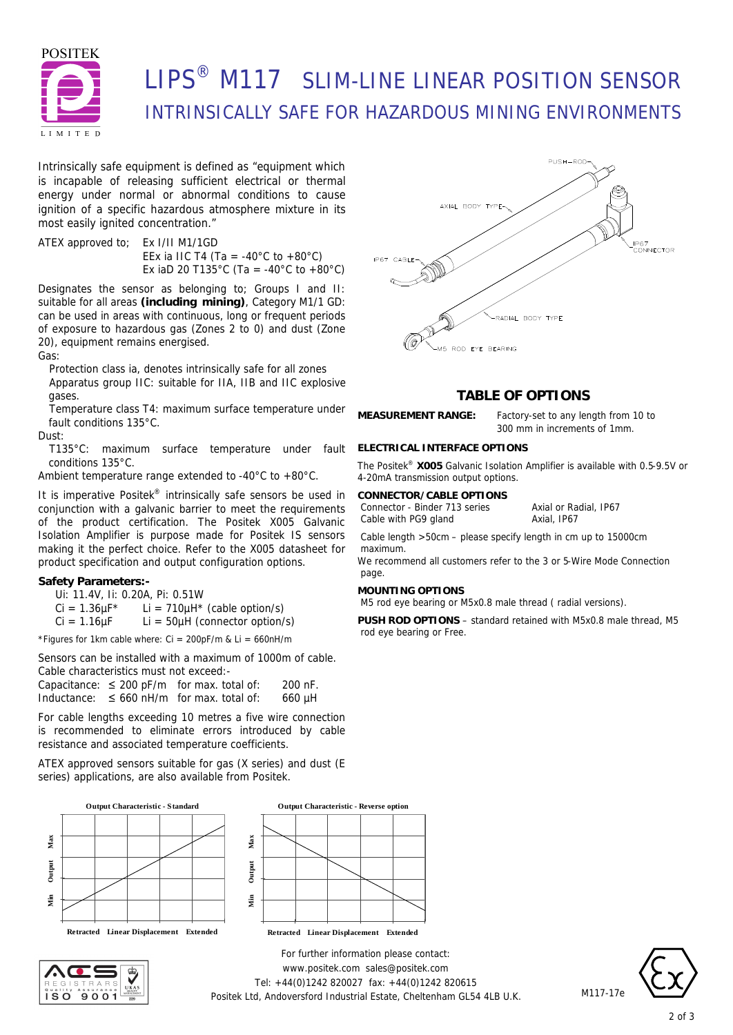

# LIPS® M117 SLIM-LINE LINEAR POSITION SENSOR INTRINSICALLY SAFE FOR HAZARDOUS MINING ENVIRONMENTS

Intrinsically safe equipment is defined as *"equipment which is incapable of releasing sufficient electrical or thermal energy under normal or abnormal conditions to cause ignition of a specific hazardous atmosphere mixture in its most easily ignited concentration."*

ATEX approved to; Ex I/II M1/1GD EEx ia IIC T4 (Ta = -40 $^{\circ}$ C to +80 $^{\circ}$ C) Ex iaD 20 T135°C (Ta = -40°C to +80°C)

Designates the sensor as belonging to; Groups I and II: suitable for all areas **(including mining)**, Category M1/1 GD: can be used in areas with continuous, long or frequent periods of exposure to hazardous gas (Zones 2 to 0) and dust (Zone 20), equipment remains energised.

Gas:

Protection class ia, denotes intrinsically safe for all zones Apparatus group IIC: suitable for IIA, IIB and IIC explosive gases.

Temperature class T4: maximum surface temperature under fault conditions 135°C.

Dust:

T135°C: maximum surface temperature under fault conditions 135°C.

Ambient temperature range extended to -40°C to +80°C.

It is imperative Positek® intrinsically safe sensors be used in conjunction with a galvanic barrier to meet the requirements of the product certification. The Positek X005 Galvanic Isolation Amplifier is purpose made for Positek IS sensors making it the perfect choice. Refer to the X005 datasheet for product specification and output configuration options.

### **Safety Parameters:-**

Ui: 11.4V, Ii: 0.20A, Pi: 0.51W

 $Ci = 1.36 \mu F^*$  Li = 710 $\mu$ H<sup>\*</sup> (cable option/s)

 $Ci = 1.16 \mu F$  Li = 50 $\mu$ H (connector option/s)

\*Figures for 1km cable where:  $Ci = 200pF/m$  &  $Li = 660nH/m$ 

Sensors can be installed with a maximum of 1000m of cable. Cable characteristics must not exceed:-

|  | Capacitance: $\leq$ 200 pF/m for max. total of: | 200 nF. |
|--|-------------------------------------------------|---------|
|  | Inductance: $\leq 660$ nH/m for max. total of:  | 660 µH  |

For cable lengths exceeding 10 metres a five wire connection is recommended to eliminate errors introduced by cable resistance and associated temperature coefficients.

ATEX approved sensors suitable for gas (X series) and dust (E series) applications, are also available from Positek.







*For further information please contact:* www.positek.com sales@positek.com Tel: +44(0)1242 820027 fax: +44(0)1242 820615 Positek Ltd, Andoversford Industrial Estate, Cheltenham GL54 4LB U.K.



## **TABLE OF OPTIONS**

**MEASUREMENT RANGE:** Factory-set to any length from 10 to

**ELECTRICAL INTERFACE OPTIONS**

The Positek® **X005** Galvanic Isolation Amplifier is available with 0.5-9.5V or 4-20mA transmission output options.

#### **CONNECTOR/CABLE OPTIONS**

Connector - Binder 713 series Axial or Radial, IP67 Cable with PG9 gland Axial, IP67

300 mm in increments of 1mm.

Cable length >50cm – please specify length in cm up to 15000cm maximum.

We recommend all customers refer to the 3 or 5-Wire Mode Connection page.

### **MOUNTING OPTIONS**

M5 rod eye bearing or M5x0.8 male thread ( radial versions).

**PUSH ROD OPTIONS** – standard retained with M5x0.8 male thread, M5 rod eye bearing or Free.



M117-17e